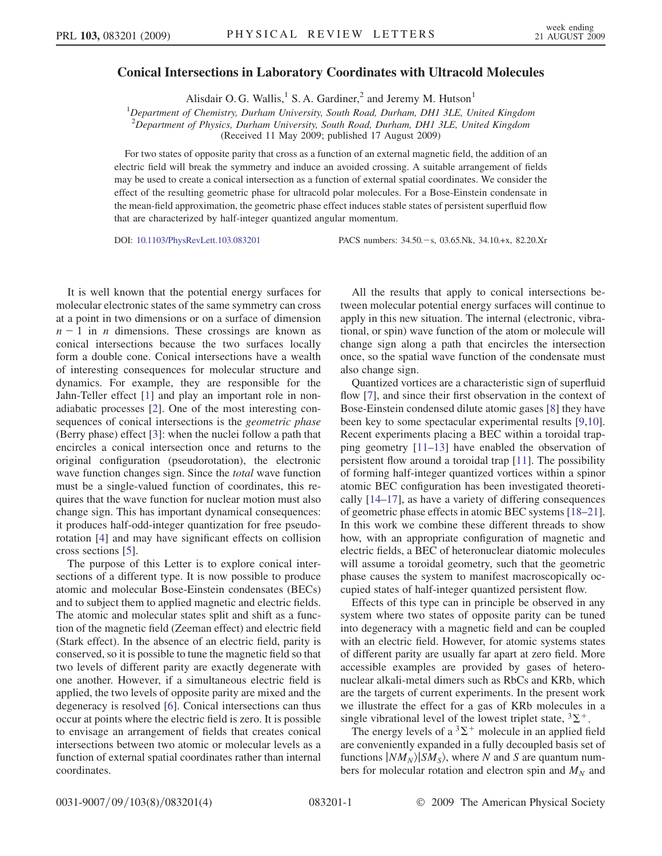## Conical Intersections in Laboratory Coordinates with Ultracold Molecules

Alisdair O. G. Wallis,<sup>1</sup> S. A. Gardiner,<sup>2</sup> and Jeremy M. Hutson<sup>1</sup>

<sup>1</sup>Department of Chemistry, Durham University, South Road, Durham, DH1 3LE, United Kingdom  $2D$ epartment of Physics, Durham University, South Road, Durham, DH1 3LE, United Kingdom

(Received 11 May 2009; published 17 August 2009)

For two states of opposite parity that cross as a function of an external magnetic field, the addition of an electric field will break the symmetry and induce an avoided crossing. A suitable arrangement of fields may be used to create a conical intersection as a function of external spatial coordinates. We consider the effect of the resulting geometric phase for ultracold polar molecules. For a Bose-Einstein condensate in the mean-field approximation, the geometric phase effect induces stable states of persistent superfluid flow that are characterized by half-integer quantized angular momentum.

DOI: [10.1103/PhysRevLett.103.083201](http://dx.doi.org/10.1103/PhysRevLett.103.083201) PACS numbers: 34.50. - s, 03.65.Nk, 34.10.+x, 82.20.Xr

It is well known that the potential energy surfaces for molecular electronic states of the same symmetry can cross at a point in two dimensions or on a surface of dimension  $n - 1$  in *n* dimensions. These crossings are known as conical intersections because the two surfaces locally form a double cone. Conical intersections have a wealth of interesting consequences for molecular structure and dynamics. For example, they are responsible for the Jahn-Teller effect [[1](#page-3-0)] and play an important role in nonadiabatic processes [[2](#page-3-1)]. One of the most interesting consequences of conical intersections is the geometric phase (Berry phase) effect [\[3](#page-3-2)]: when the nuclei follow a path that encircles a conical intersection once and returns to the original configuration (pseudorotation), the electronic wave function changes sign. Since the *total* wave function must be a single-valued function of coordinates, this requires that the wave function for nuclear motion must also change sign. This has important dynamical consequences: it produces half-odd-integer quantization for free pseudorotation [[4\]](#page-3-3) and may have significant effects on collision cross sections [[5\]](#page-3-4).

The purpose of this Letter is to explore conical intersections of a different type. It is now possible to produce atomic and molecular Bose-Einstein condensates (BECs) and to subject them to applied magnetic and electric fields. The atomic and molecular states split and shift as a function of the magnetic field (Zeeman effect) and electric field (Stark effect). In the absence of an electric field, parity is conserved, so it is possible to tune the magnetic field so that two levels of different parity are exactly degenerate with one another. However, if a simultaneous electric field is applied, the two levels of opposite parity are mixed and the degeneracy is resolved [\[6](#page-3-5)]. Conical intersections can thus occur at points where the electric field is zero. It is possible to envisage an arrangement of fields that creates conical intersections between two atomic or molecular levels as a function of external spatial coordinates rather than internal coordinates.

All the results that apply to conical intersections between molecular potential energy surfaces will continue to apply in this new situation. The internal (electronic, vibrational, or spin) wave function of the atom or molecule will change sign along a path that encircles the intersection once, so the spatial wave function of the condensate must also change sign.

Quantized vortices are a characteristic sign of superfluid flow [[7](#page-3-6)], and since their first observation in the context of Bose-Einstein condensed dilute atomic gases [[8](#page-3-7)] they have been key to some spectacular experimental results [[9,](#page-3-8)[10\]](#page-3-9). Recent experiments placing a BEC within a toroidal trapping geometry [[11](#page-3-10)[–13\]](#page-3-11) have enabled the observation of persistent flow around a toroidal trap [[11](#page-3-10)]. The possibility of forming half-integer quantized vortices within a spinor atomic BEC configuration has been investigated theoretically [[14](#page-3-12)–[17](#page-3-13)], as have a variety of differing consequences of geometric phase effects in atomic BEC systems [[18](#page-3-14)–[21\]](#page-3-15). In this work we combine these different threads to show how, with an appropriate configuration of magnetic and electric fields, a BEC of heteronuclear diatomic molecules will assume a toroidal geometry, such that the geometric phase causes the system to manifest macroscopically occupied states of half-integer quantized persistent flow.

Effects of this type can in principle be observed in any system where two states of opposite parity can be tuned into degeneracy with a magnetic field and can be coupled with an electric field. However, for atomic systems states of different parity are usually far apart at zero field. More accessible examples are provided by gases of heteronuclear alkali-metal dimers such as RbCs and KRb, which are the targets of current experiments. In the present work we illustrate the effect for a gas of KRb molecules in a single vibrational level of the lowest triplet state,  ${}^{3}\Sigma^{+}$ .

The energy levels of a  ${}^{3}\Sigma^{+}$  molecule in an applied field are conveniently expanded in a fully decoupled basis set of functions  $|NM_N\rangle|SM_S\rangle$ , where N and S are quantum numbers for molecular rotation and electron spin and  $M_N$  and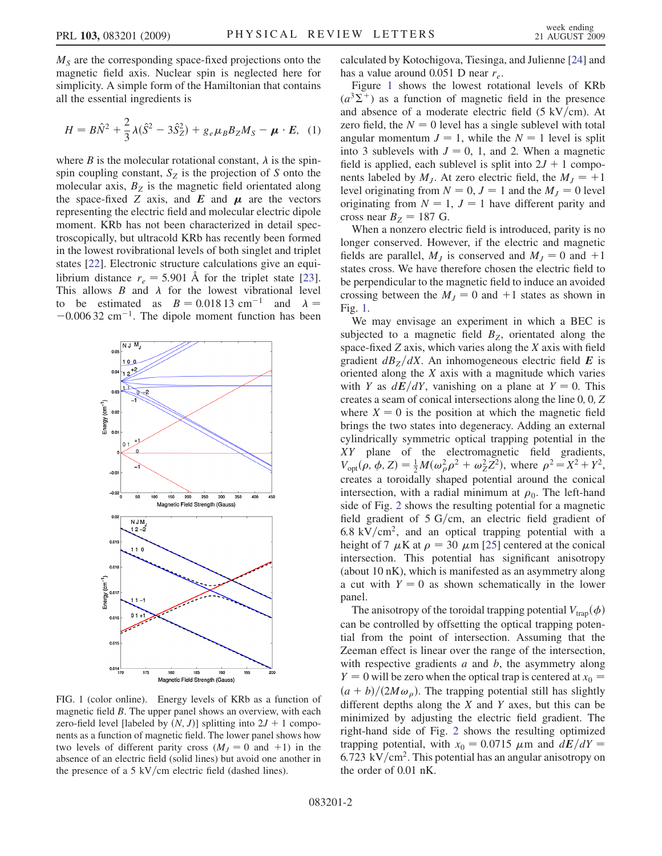$M<sub>S</sub>$  are the corresponding space-fixed projections onto the magnetic field axis. Nuclear spin is neglected here for simplicity. A simple form of the Hamiltonian that contains all the essential ingredients is

$$
H = B\hat{N}^2 + \frac{2}{3}\lambda(\hat{S}^2 - 3\hat{S}_Z^2) + g_e\mu_B B_Z M_S - \mu \cdot E, \quad (1)
$$

where *B* is the molecular rotational constant,  $\lambda$  is the spinspin coupling constant,  $S_z$  is the projection of S onto the molecular axis,  $B<sub>Z</sub>$  is the magnetic field orientated along the space-fixed Z axis, and E and  $\mu$  are the vectors representing the electric field and molecular electric dipole moment. KRb has not been characterized in detail spectroscopically, but ultracold KRb has recently been formed in the lowest rovibrational levels of both singlet and triplet states [[22](#page-3-16)]. Electronic structure calculations give an equilibrium distance  $r_e = 5.901 \text{ Å}$  for the triplet state [\[23\]](#page-3-17). This allows  $B$  and  $\lambda$  for the lowest vibrational level to be estimated as  $B = 0.01813$  cm<sup>-1</sup> and  $\lambda =$  $-0.00632$  cm<sup>-1</sup>. The dipole moment function has been

<span id="page-1-0"></span>

FIG. 1 (color online). Energy levels of KRb as a function of magnetic field B. The upper panel shows an overview, with each zero-field level [labeled by  $(N, J)$ ] splitting into  $2J + 1$  components as a function of magnetic field. The lower panel shows how two levels of different parity cross  $(M_J = 0$  and  $+1)$  in the absence of an electric field (solid lines) but avoid one another in the presence of a 5 kV/cm electric field (dashed lines).

calculated by Kotochigova, Tiesinga, and Julienne [[24](#page-3-18)] and has a value around 0.051 D near  $r_e$ .

Figure [1](#page-1-0) shows the lowest rotational levels of KRb  $(a^{3}\Sigma^{+})$  as a function of magnetic field in the presence and absence of a moderate electric field  $(5 \text{ kV/cm})$ . At zero field, the  $N = 0$  level has a single sublevel with total angular momentum  $J = 1$ , while the  $N = 1$  level is split into 3 sublevels with  $J = 0, 1$ , and 2. When a magnetic field is applied, each sublevel is split into  $2J + 1$  components labeled by  $M_J$ . At zero electric field, the  $M_J = +1$ level originating from  $N = 0, J = 1$  and the  $M<sub>J</sub> = 0$  level originating from  $N = 1$ ,  $J = 1$  have different parity and cross near  $B_Z = 187$  G.

When a nonzero electric field is introduced, parity is no longer conserved. However, if the electric and magnetic fields are parallel,  $M_l$  is conserved and  $M_l = 0$  and  $+1$ states cross. We have therefore chosen the electric field to be perpendicular to the magnetic field to induce an avoided crossing between the  $M<sub>J</sub> = 0$  and  $+1$  states as shown in Fig. [1.](#page-1-0)

We may envisage an experiment in which a BEC is subjected to a magnetic field  $B<sub>Z</sub>$ , orientated along the space-fixed  $Z$  axis, which varies along the  $X$  axis with field gradient  $dB_Z/dX$ . An inhomogeneous electric field E is oriented along the  $X$  axis with a magnitude which varies with Y as  $dE/dY$ , vanishing on a plane at  $Y = 0$ . This creates a seam of conical intersections along the line 0; 0; Z where  $X = 0$  is the position at which the magnetic field brings the two states into degeneracy. Adding an external cylindrically symmetric optical trapping potential in the XY plane of the electromagnetic field gradients,  $V_{\text{opt}}(\rho, \phi, Z) = \frac{1}{2} M(\omega_{\rho}^2 \rho^2 + \omega_Z^2 Z^2)$ , where  $\rho^2 = X^2 + Y^2$ , creates a toroidally shaped potential around the conical intersection, with a radial minimum at  $\rho_0$ . The left-hand side of Fig. [2](#page-2-0) shows the resulting potential for a magnetic field gradient of  $5 \text{ G/cm}$ , an electric field gradient of  $6.8 \text{ kV/cm}^2$ , and an optical trapping potential with a height of 7  $\mu$ K at  $\rho = 30 \mu$ m [\[25\]](#page-3-19) centered at the conical intersection. This potential has significant anisotropy (about 10 nK), which is manifested as an asymmetry along a cut with  $Y = 0$  as shown schematically in the lower panel.

The anisotropy of the toroidal trapping potential  $V_{trap}(\phi)$ can be controlled by offsetting the optical trapping potential from the point of intersection. Assuming that the Zeeman effect is linear over the range of the intersection, with respective gradients  $a$  and  $b$ , the asymmetry along  $Y = 0$  will be zero when the optical trap is centered at  $x_0 =$  $(a + b)/(2M\omega_{\rho})$ . The trapping potential still has slightly different depths along the  $X$  and  $Y$  axes, but this can be minimized by adjusting the electric field gradient. The right-hand side of Fig. [2](#page-2-0) shows the resulting optimized trapping potential, with  $x_0 = 0.0715 \mu m$  and  $dE/dY =$  $6.723 \text{ kV/cm}^2$ . This potential has an angular anisotropy on the order of 0.01 nK.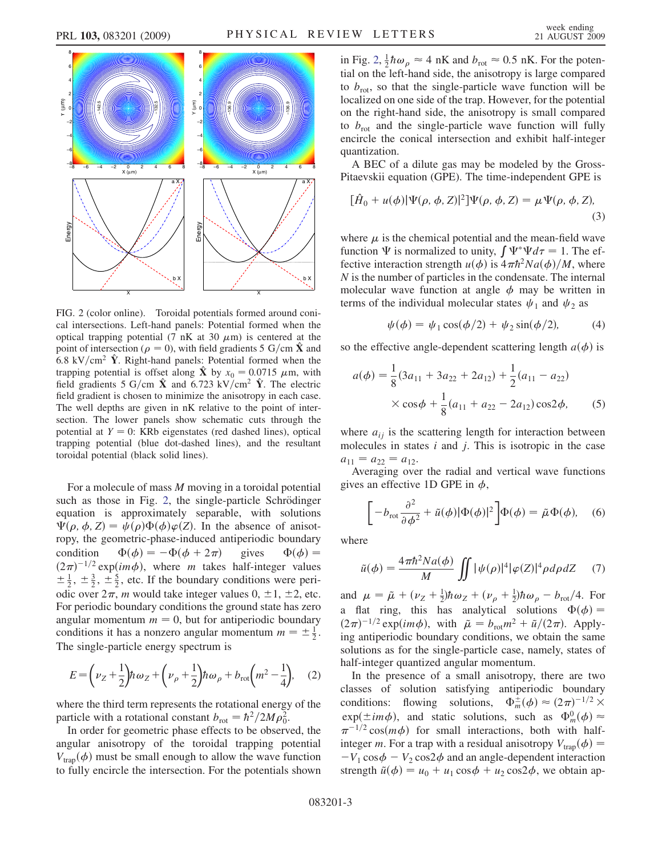<span id="page-2-0"></span>

FIG. 2 (color online). Toroidal potentials formed around conical intersections. Left-hand panels: Potential formed when the optical trapping potential (7 nK at 30  $\mu$ m) is centered at the point of intersection ( $\rho = 0$ ), with field gradients 5 G/cm  $\hat{\mathbf{X}}$  and 6.8 kV/cm<sup>2</sup>  $\hat{Y}$ . Right-hand panels: Potential formed when the trapping potential is offset along  $\hat{\mathbf{X}}$  by  $x_0 = 0.0715$   $\mu$ m, with field gradients 5 G/cm  $\hat{\textbf{X}}$  and 6.723 kV/cm<sup>2</sup>  $\hat{\textbf{Y}}$ . The electric field gradient is chosen to minimize the anisotropy in each case. The well depths are given in nK relative to the point of intersection. The lower panels show schematic cuts through the potential at  $Y = 0$ : KRb eigenstates (red dashed lines), optical trapping potential (blue dot-dashed lines), and the resultant toroidal potential (black solid lines).

For a molecule of mass M moving in a toroidal potential such as those in Fig. [2,](#page-2-0) the single-particle Schrödinger equation is approximately separable, with solutions  $\Psi(\rho, \phi, Z) = \psi(\rho)\Phi(\phi)\varphi(Z)$ . In the absence of anisotropy, the geometric-phase-induced antiperiodic boundary condition  $\Phi(\phi) = -\Phi(\phi + 2\pi)$  gives  $\Phi(\phi) =$  $(2\pi)^{-1/2}$  exp(im $\phi$ ), where m takes half-integer values  $\pm \frac{1}{2}$ ,  $\pm \frac{3}{2}$ ,  $\pm \frac{5}{2}$ , etc. If the boundary conditions were periodic over  $2\pi$ , *m* would take integer values 0,  $\pm$ 1,  $\pm$ 2, etc. For periodic boundary conditions the ground state has zero angular momentum  $m = 0$ , but for antiperiodic boundary conditions it has a nonzero angular momentum  $m = \pm \frac{1}{2}$ . The single-particle energy spectrum is

$$
E = \left(\nu_Z + \frac{1}{2}\right) \hbar \omega_Z + \left(\nu_\rho + \frac{1}{2}\right) \hbar \omega_\rho + b_{\text{rot}} \left(m^2 - \frac{1}{4}\right),\tag{2}
$$

where the third term represents the rotational energy of the particle with a rotational constant  $b_{\text{rot}} = \hbar^2/2M\rho_0^2$ .

In order for geometric phase effects to be observed, the angular anisotropy of the toroidal trapping potential  $V_{trap}(\phi)$  must be small enough to allow the wave function to fully encircle the intersection. For the potentials shown

in Fig. [2,](#page-2-0)  $\frac{1}{2}\hbar\omega_{\rho} \approx 4$  nK and  $b_{\text{rot}} \approx 0.5$  nK. For the potential on the left-hand side, the anisotropy is large compared to  $b_{\text{rot}}$ , so that the single-particle wave function will be localized on one side of the trap. However, for the potential on the right-hand side, the anisotropy is small compared to  $b_{\text{rot}}$  and the single-particle wave function will fully encircle the conical intersection and exhibit half-integer quantization.

A BEC of a dilute gas may be modeled by the Gross-Pitaevskii equation (GPE). The time-independent GPE is

$$
[\hat{H}_0 + u(\phi)|\Psi(\rho, \phi, Z)|^2]\Psi(\rho, \phi, Z) = \mu \Psi(\rho, \phi, Z),
$$
\n(3)

where  $\mu$  is the chemical potential and the mean-field wave function  $\Psi$  is normalized to unity,  $\int \Psi^* \Psi d\tau = 1$ . The effective interaction strength  $u(\phi)$  is  $4\pi\hbar^2Na(\phi)/M$ , where N is the number of particles in the condensate. The internal molecular wave function at angle  $\phi$  may be written in terms of the individual molecular states  $\psi_1$  and  $\psi_2$  as

$$
\psi(\phi) = \psi_1 \cos(\phi/2) + \psi_2 \sin(\phi/2), \tag{4}
$$

<span id="page-2-2"></span><span id="page-2-1"></span>so the effective angle-dependent scattering length  $a(\phi)$  is

$$
a(\phi) = \frac{1}{8} (3a_{11} + 3a_{22} + 2a_{12}) + \frac{1}{2} (a_{11} - a_{22})
$$
  
 
$$
\times \cos \phi + \frac{1}{8} (a_{11} + a_{22} - 2a_{12}) \cos 2\phi,
$$
 (5)

where  $a_{ij}$  is the scattering length for interaction between molecules in states  $i$  and  $j$ . This is isotropic in the case  $a_{11} = a_{22} = a_{12}.$ 

Averaging over the radial and vertical wave functions gives an effective 1D GPE in  $\phi$ ,

$$
\left[-b_{\text{rot}}\frac{\partial^2}{\partial\phi^2} + \tilde{u}(\phi)|\Phi(\phi)|^2\right]\Phi(\phi) = \tilde{\mu}\Phi(\phi), \quad (6)
$$

where

$$
\tilde{u}(\phi) = \frac{4\pi\hbar^2 Na(\phi)}{M} \iint |\psi(\rho)|^4 |\varphi(Z)|^4 \rho d\rho dZ \qquad (7)
$$

and  $\mu = \tilde{\mu} + (\nu_Z + \frac{1}{2})\hbar\omega_Z + (\nu_\rho + \frac{1}{2})\hbar\omega_\rho - b_{\text{rot}}/4$ . For a flat ring, this has analytical solutions  $\Phi(\phi)$  =  $(2\pi)^{-1/2} \exp(im\phi)$ , with  $\tilde{\mu} = b_{\text{rot}}m^2 + \tilde{u}/(2\pi)$ . Applying antiperiodic boundary conditions, we obtain the same solutions as for the single-particle case, namely, states of half-integer quantized angular momentum.

In the presence of a small anisotropy, there are two classes of solution satisfying antiperiodic boundary conditions: flowing solutions,  $\Phi_m^{\pm}(\phi) \approx (2\pi)^{-1/2} \times$  $exp(\pm im\phi)$ , and static solutions, such as  $\Phi_m^0(\phi) \approx$  $\pi^{-1/2} \cos(m\phi)$  for small interactions, both with halfinteger m. For a trap with a residual anisotropy  $V_{tran}(\phi) =$  $-V_1 \cos \phi - V_2 \cos 2\phi$  and an angle-dependent interaction strength  $\tilde{u}(\phi) = u_0 + u_1 \cos \phi + u_2 \cos 2\phi$ , we obtain ap